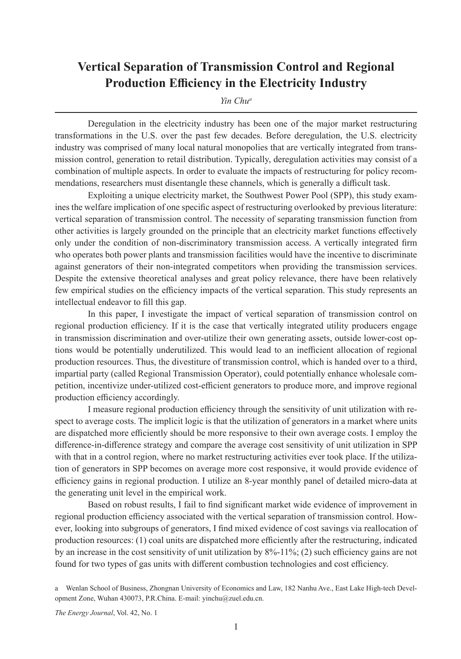## **Vertical Separation of Transmission Control and Regional Production Efficiency in the Electricity Industry**

*Yin Chua*

Deregulation in the electricity industry has been one of the major market restructuring transformations in the U.S. over the past few decades. Before deregulation, the U.S. electricity industry was comprised of many local natural monopolies that are vertically integrated from transmission control, generation to retail distribution. Typically, deregulation activities may consist of a combination of multiple aspects. In order to evaluate the impacts of restructuring for policy recommendations, researchers must disentangle these channels, which is generally a difficult task.

Exploiting a unique electricity market, the Southwest Power Pool (SPP), this study examines the welfare implication of one specific aspect of restructuring overlooked by previous literature: vertical separation of transmission control. The necessity of separating transmission function from other activities is largely grounded on the principle that an electricity market functions effectively only under the condition of non-discriminatory transmission access. A vertically integrated firm who operates both power plants and transmission facilities would have the incentive to discriminate against generators of their non-integrated competitors when providing the transmission services. Despite the extensive theoretical analyses and great policy relevance, there have been relatively few empirical studies on the efficiency impacts of the vertical separation. This study represents an intellectual endeavor to fill this gap.

In this paper, I investigate the impact of vertical separation of transmission control on regional production efficiency. If it is the case that vertically integrated utility producers engage in transmission discrimination and over-utilize their own generating assets, outside lower-cost options would be potentially underutilized. This would lead to an inefficient allocation of regional production resources. Thus, the divestiture of transmission control, which is handed over to a third, impartial party (called Regional Transmission Operator), could potentially enhance wholesale competition, incentivize under-utilized cost-efficient generators to produce more, and improve regional production efficiency accordingly.

I measure regional production efficiency through the sensitivity of unit utilization with respect to average costs. The implicit logic is that the utilization of generators in a market where units are dispatched more efficiently should be more responsive to their own average costs. I employ the difference-in-difference strategy and compare the average cost sensitivity of unit utilization in SPP with that in a control region, where no market restructuring activities ever took place. If the utilization of generators in SPP becomes on average more cost responsive, it would provide evidence of efficiency gains in regional production. I utilize an 8-year monthly panel of detailed micro-data at the generating unit level in the empirical work.

Based on robust results, I fail to find significant market wide evidence of improvement in regional production efficiency associated with the vertical separation of transmission control. However, looking into subgroups of generators, I find mixed evidence of cost savings via reallocation of production resources: (1) coal units are dispatched more efficiently after the restructuring, indicated by an increase in the cost sensitivity of unit utilization by 8%-11%; (2) such efficiency gains are not found for two types of gas units with different combustion technologies and cost efficiency.

*The Energy Journal*, Vol. 42, No. 1

a Wenlan School of Business, Zhongnan University of Economics and Law, 182 Nanhu Ave., East Lake High-tech Development Zone, Wuhan 430073, P.R.China. E-mail: yinchu@zuel.edu.cn.